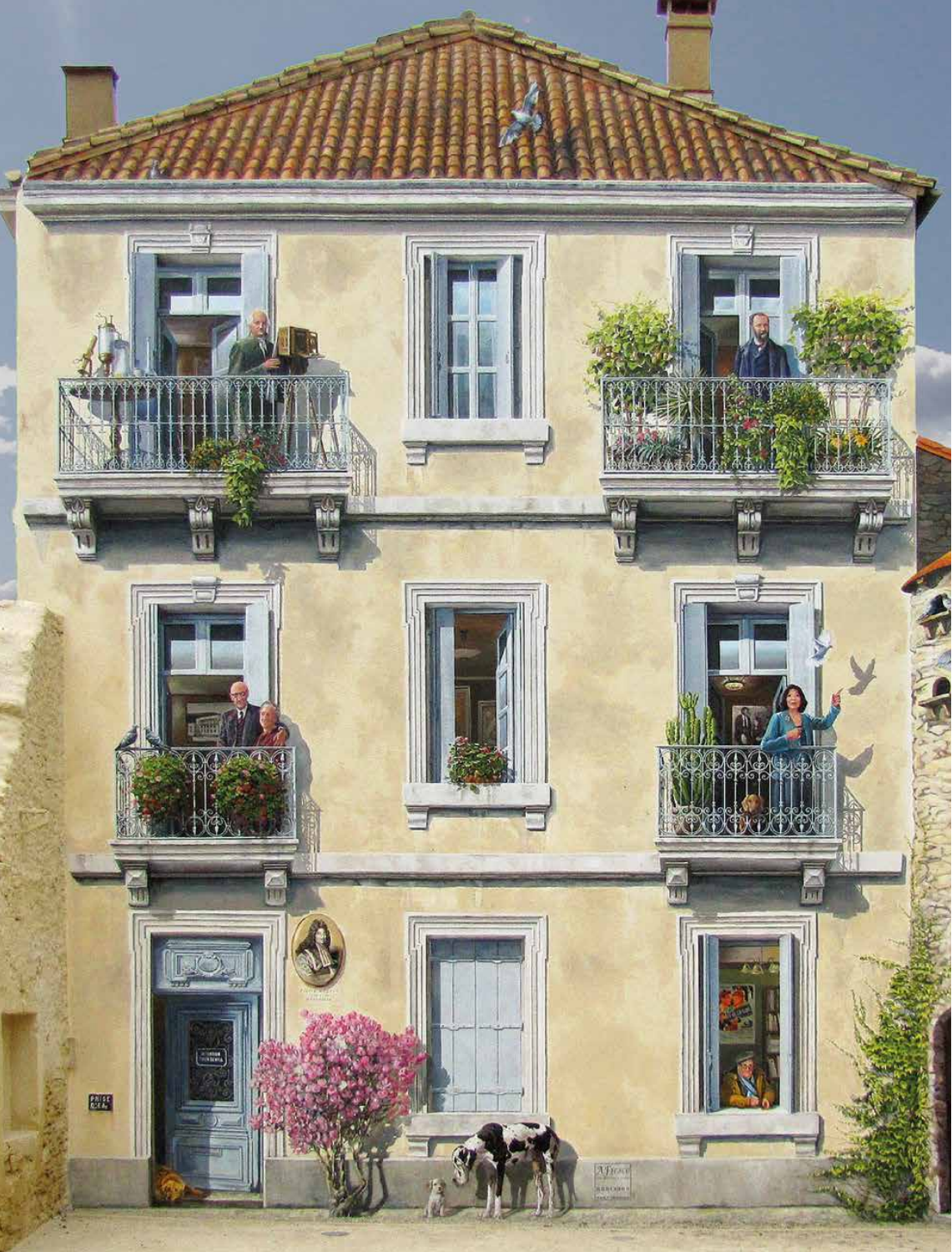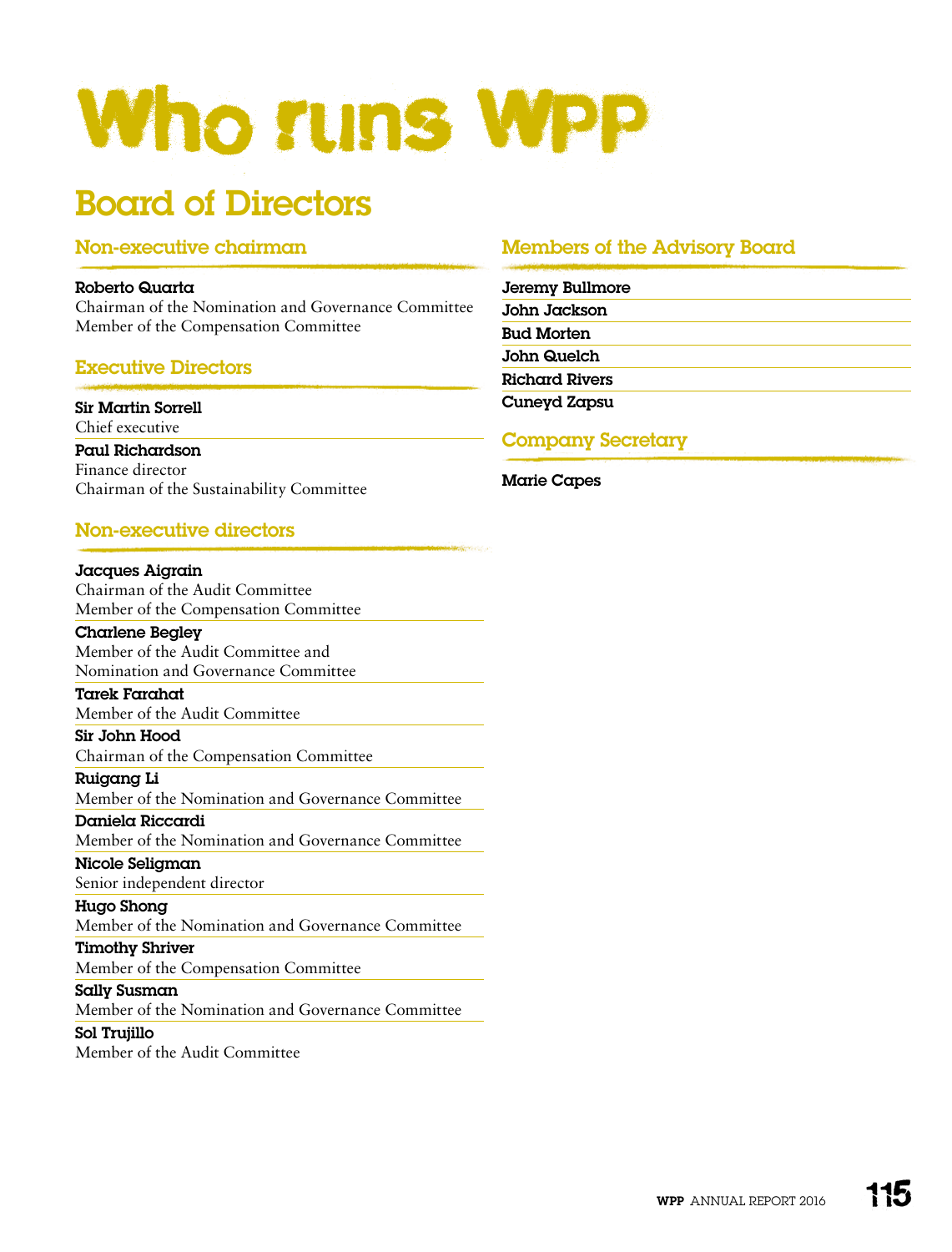# **Who runs WPP**

# Board of Directors

# Non-executive chairman

## Roberto Quarta

Chairman of the Nomination and Governance Committee Member of the Compensation Committee

# Executive Directors

# Sir Martin Sorrell

Chief executive

# Paul Richardson

Finance director Chairman of the Sustainability Committee

# Non-executive directors

Jacques Aigrain Chairman of the Audit Committee Member of the Compensation Committee

Charlene Begley Member of the Audit Committee and Nomination and Governance Committee

# Tarek Farahat

Member of the Audit Committee Sir John Hood

Chairman of the Compensation Committee

# Ruigang Li

Member of the Nomination and Governance Committee

Daniela Riccardi

Member of the Nomination and Governance Committee

# Nicole Seligman

Senior independent director

# Hugo Shong

Member of the Nomination and Governance Committee Timothy Shriver

Member of the Compensation Committee

# Sally Susman

Member of the Nomination and Governance Committee

## Sol Trujillo

Member of the Audit Committee

# Members of the Advisory Board

Jeremy Bullmore

John Jackson

Bud Morten

John Quelch

Richard Rivers

Cuneyd Zapsu

# Company Secretary

# Marie Capes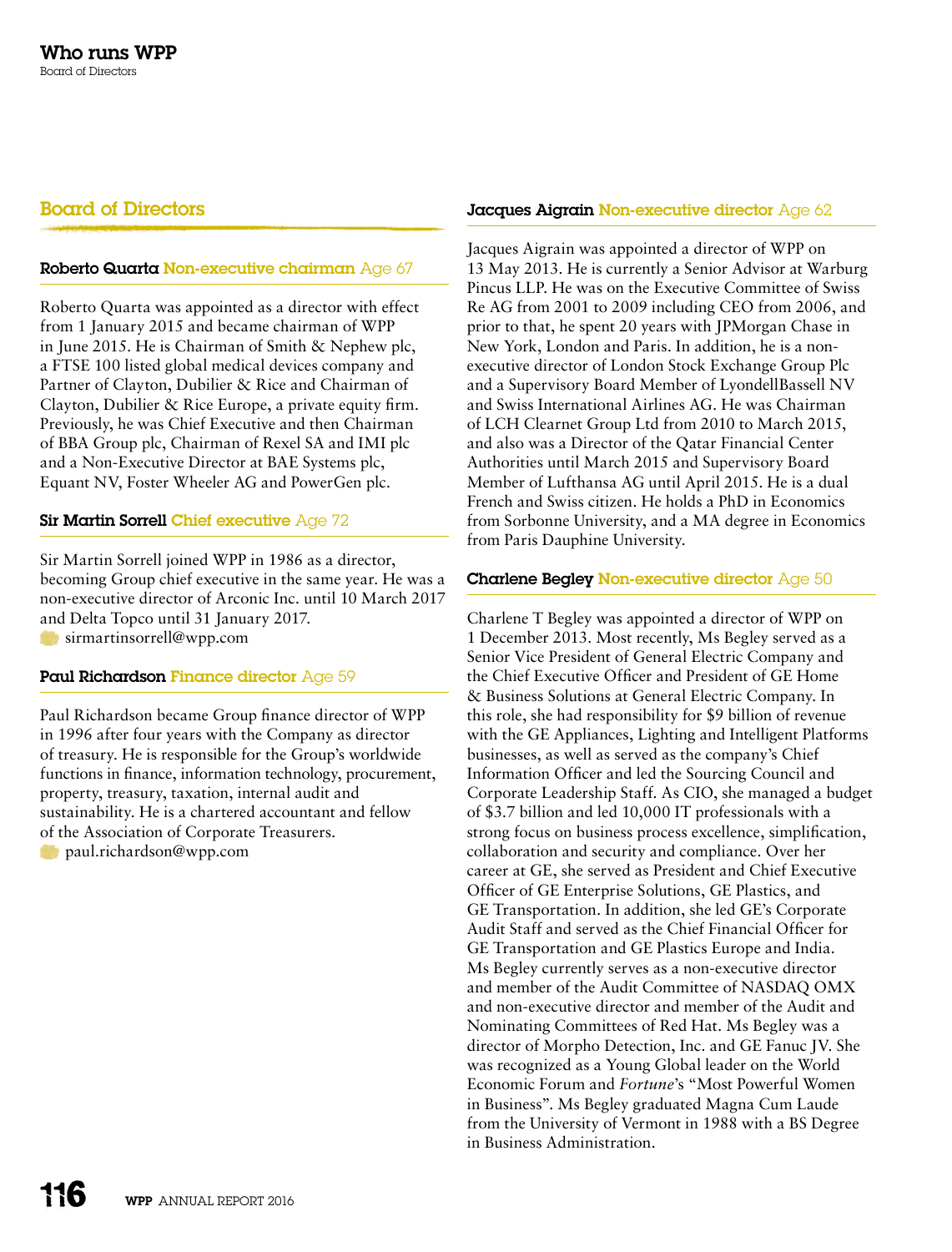# Board of Directors

# Roberto Quarta Non-executive chairman Age 67

Roberto Quarta was appointed as a director with effect from 1 January 2015 and became chairman of WPP in June 2015. He is Chairman of Smith & Nephew plc, a FTSE 100 listed global medical devices company and Partner of Clayton, Dubilier & Rice and Chairman of Clayton, Dubilier & Rice Europe, a private equity firm. Previously, he was Chief Executive and then Chairman of BBA Group plc, Chairman of Rexel SA and IMI plc and a Non-Executive Director at BAE Systems plc, Equant NV, Foster Wheeler AG and PowerGen plc.

## Sir Martin Sorrell Chief executive Age 72

Sir Martin Sorrell joined WPP in 1986 as a director, becoming Group chief executive in the same year. He was a non-executive director of Arconic Inc. until 10 March 2017 and Delta Topco until 31 January 2017.

[sirmartinsorrell@wpp.com](mailto:sirmartinsorrell%40wpp.com?subject=)

### Paul Richardson Finance director Age 59

Paul Richardson became Group finance director of WPP in 1996 after four years with the Company as director of treasury. He is responsible for the Group's worldwide functions in finance, information technology, procurement, property, treasury, taxation, internal audit and sustainability. He is a chartered accountant and fellow of the Association of Corporate Treasurers.

[paul.richardson@wpp.com](mailto:paul.richardson%40wpp.com?subject=)

### Jacques Aigrain Non-executive director Age 62

Jacques Aigrain was appointed a director of WPP on 13 May 2013. He is currently a Senior Advisor at Warburg Pincus LLP. He was on the Executive Committee of Swiss Re AG from 2001 to 2009 including CEO from 2006, and prior to that, he spent 20 years with JPMorgan Chase in New York, London and Paris. In addition, he is a nonexecutive director of London Stock Exchange Group Plc and a Supervisory Board Member of LyondellBassell NV and Swiss International Airlines AG. He was Chairman of LCH Clearnet Group Ltd from 2010 to March 2015, and also was a Director of the Qatar Financial Center Authorities until March 2015 and Supervisory Board Member of Lufthansa AG until April 2015. He is a dual French and Swiss citizen. He holds a PhD in Economics from Sorbonne University, and a MA degree in Economics from Paris Dauphine University.

### Charlene Begley Non-executive director Age 50

Charlene T Begley was appointed a director of WPP on 1 December 2013. Most recently, Ms Begley served as a Senior Vice President of General Electric Company and the Chief Executive Officer and President of GE Home & Business Solutions at General Electric Company. In this role, she had responsibility for \$9 billion of revenue with the GE Appliances, Lighting and Intelligent Platforms businesses, as well as served as the company's Chief Information Officer and led the Sourcing Council and Corporate Leadership Staff. As CIO, she managed a budget of \$3.7 billion and led 10,000 IT professionals with a strong focus on business process excellence, simplification, collaboration and security and compliance. Over her career at GE, she served as President and Chief Executive Officer of GE Enterprise Solutions, GE Plastics, and GE Transportation. In addition, she led GE's Corporate Audit Staff and served as the Chief Financial Officer for GE Transportation and GE Plastics Europe and India. Ms Begley currently serves as a non-executive director and member of the Audit Committee of NASDAQ OMX and non-executive director and member of the Audit and Nominating Committees of Red Hat. Ms Begley was a director of Morpho Detection, Inc. and GE Fanuc JV. She was recognized as a Young Global leader on the World Economic Forum and *Fortune*'s "Most Powerful Women in Business". Ms Begley graduated Magna Cum Laude from the University of Vermont in 1988 with a BS Degree in Business Administration.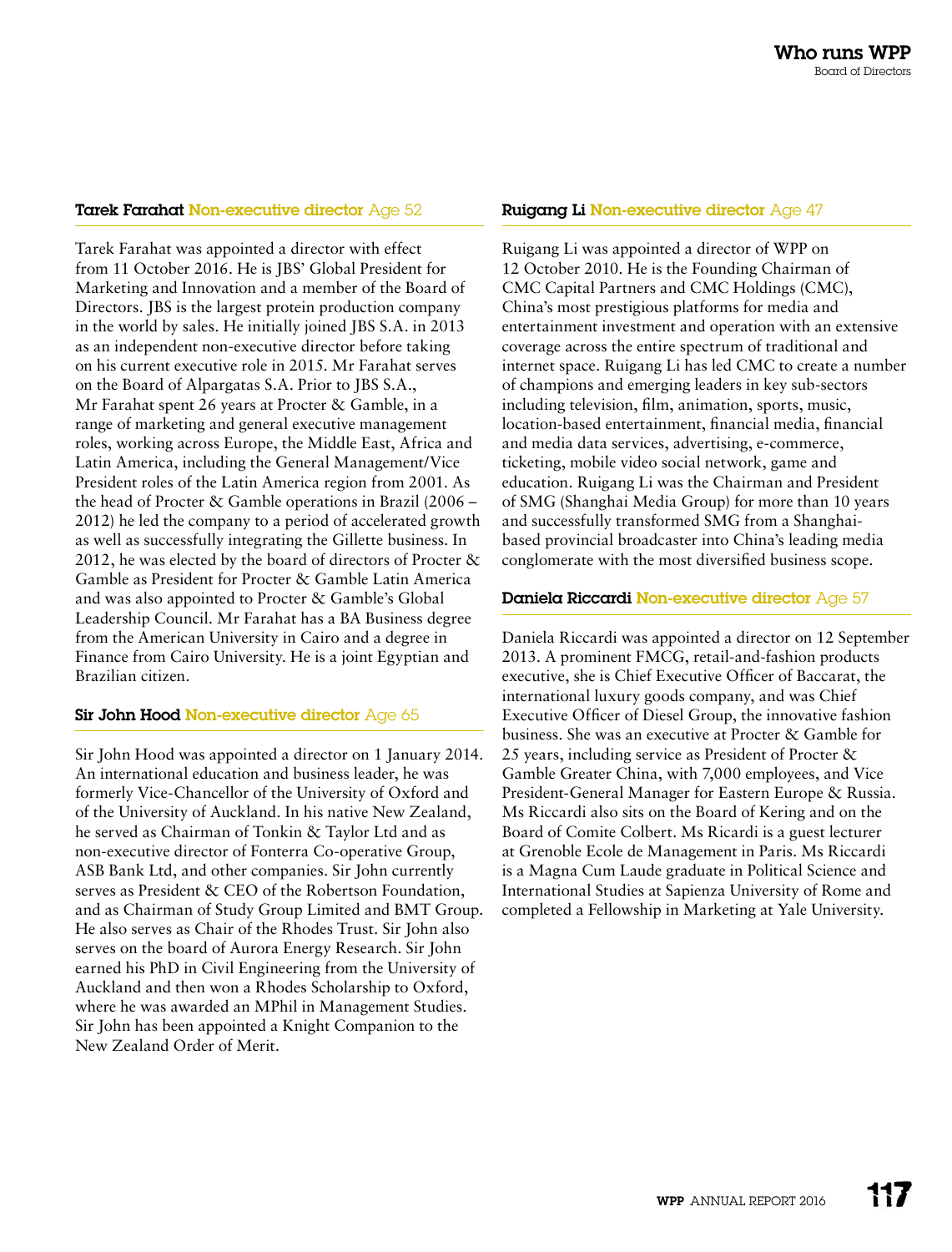### Tarek Farahat Non-executive director Age 52

Tarek Farahat was appointed a director with effect from 11 October 2016. He is JBS' Global President for Marketing and Innovation and a member of the Board of Directors. JBS is the largest protein production company in the world by sales. He initially joined JBS S.A. in 2013 as an independent non-executive director before taking on his current executive role in 2015. Mr Farahat serves on the Board of Alpargatas S.A. Prior to JBS S.A., Mr Farahat spent 26 years at Procter & Gamble, in a range of marketing and general executive management roles, working across Europe, the Middle East, Africa and Latin America, including the General Management/Vice President roles of the Latin America region from 2001. As the head of Procter & Gamble operations in Brazil (2006 – 2012) he led the company to a period of accelerated growth as well as successfully integrating the Gillette business. In 2012, he was elected by the board of directors of Procter & Gamble as President for Procter & Gamble Latin America and was also appointed to Procter & Gamble's Global Leadership Council. Mr Farahat has a BA Business degree from the American University in Cairo and a degree in Finance from Cairo University. He is a joint Egyptian and Brazilian citizen.

### Sir John Hood Non-executive director Age 65

Sir John Hood was appointed a director on 1 January 2014. An international education and business leader, he was formerly Vice-Chancellor of the University of Oxford and of the University of Auckland. In his native New Zealand, he served as Chairman of Tonkin & Taylor Ltd and as non-executive director of Fonterra Co-operative Group, ASB Bank Ltd, and other companies. Sir John currently serves as President & CEO of the Robertson Foundation, and as Chairman of Study Group Limited and BMT Group. He also serves as Chair of the Rhodes Trust. Sir John also serves on the board of Aurora Energy Research. Sir John earned his PhD in Civil Engineering from the University of Auckland and then won a Rhodes Scholarship to Oxford, where he was awarded an MPhil in Management Studies. Sir John has been appointed a Knight Companion to the New Zealand Order of Merit.

### Ruigang Li Non-executive director Age 47

Ruigang Li was appointed a director of WPP on 12 October 2010. He is the Founding Chairman of CMC Capital Partners and CMC Holdings (CMC), China's most prestigious platforms for media and entertainment investment and operation with an extensive coverage across the entire spectrum of traditional and internet space. Ruigang Li has led CMC to create a number of champions and emerging leaders in key sub-sectors including television, film, animation, sports, music, location-based entertainment, financial media, financial and media data services, advertising, e-commerce, ticketing, mobile video social network, game and education. Ruigang Li was the Chairman and President of SMG (Shanghai Media Group) for more than 10 years and successfully transformed SMG from a Shanghaibased provincial broadcaster into China's leading media conglomerate with the most diversified business scope.

### Daniela Riccardi Non-executive director Age 57

Daniela Riccardi was appointed a director on 12 September 2013. A prominent FMCG, retail-and-fashion products executive, she is Chief Executive Officer of Baccarat, the international luxury goods company, and was Chief Executive Officer of Diesel Group, the innovative fashion business. She was an executive at Procter & Gamble for 25 years, including service as President of Procter & Gamble Greater China, with 7,000 employees, and Vice President-General Manager for Eastern Europe & Russia. Ms Riccardi also sits on the Board of Kering and on the Board of Comite Colbert. Ms Ricardi is a guest lecturer at Grenoble Ecole de Management in Paris. Ms Riccardi is a Magna Cum Laude graduate in Political Science and International Studies at Sapienza University of Rome and completed a Fellowship in Marketing at Yale University.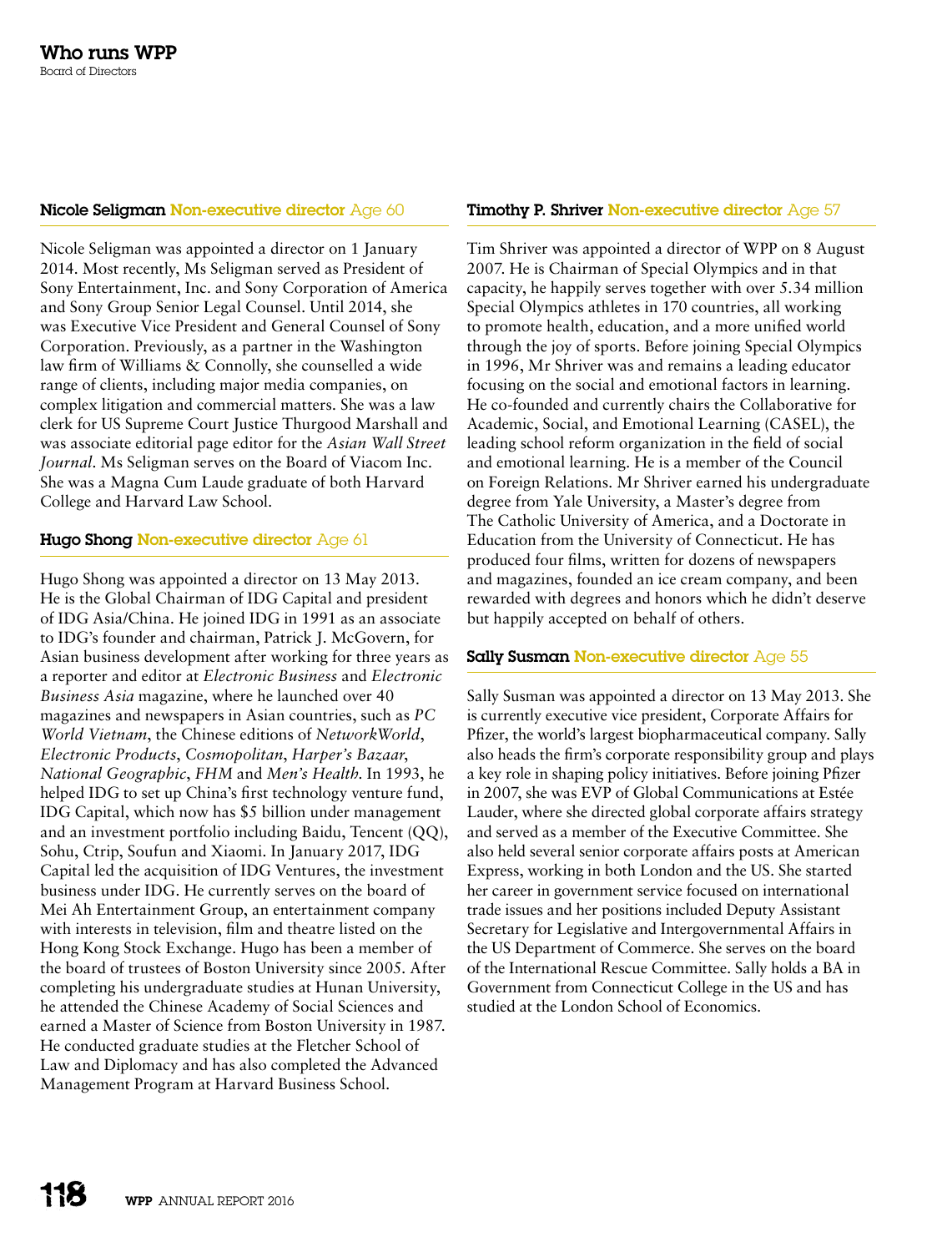### Nicole Seligman Non-executive director Age 60

Nicole Seligman was appointed a director on 1 January 2014. Most recently, Ms Seligman served as President of Sony Entertainment, Inc. and Sony Corporation of America and Sony Group Senior Legal Counsel. Until 2014, she was Executive Vice President and General Counsel of Sony Corporation. Previously, as a partner in the Washington law firm of Williams & Connolly, she counselled a wide range of clients, including major media companies, on complex litigation and commercial matters. She was a law clerk for US Supreme Court Justice Thurgood Marshall and was associate editorial page editor for the *Asian Wall Street Journal*. Ms Seligman serves on the Board of Viacom Inc. She was a Magna Cum Laude graduate of both Harvard College and Harvard Law School.

# Hugo Shong Non-executive director Age 61

Hugo Shong was appointed a director on 13 May 2013. He is the Global Chairman of IDG Capital and president of IDG Asia/China. He joined IDG in 1991 as an associate to IDG's founder and chairman, Patrick J. McGovern, for Asian business development after working for three years as a reporter and editor at *Electronic Business* and *Electronic Business Asia* magazine, where he launched over 40 magazines and newspapers in Asian countries, such as *PC World Vietnam*, the Chinese editions of *NetworkWorld*, *Electronic Products*, *Cosmopolitan*, *Harper's Bazaar*, *National Geographic*, *FHM* and *Men's Health*. In 1993, he helped IDG to set up China's first technology venture fund, IDG Capital, which now has \$5 billion under management and an investment portfolio including Baidu, Tencent (QQ), Sohu, Ctrip, Soufun and Xiaomi. In January 2017, IDG Capital led the acquisition of IDG Ventures, the investment business under IDG. He currently serves on the board of Mei Ah Entertainment Group, an entertainment company with interests in television, film and theatre listed on the Hong Kong Stock Exchange. Hugo has been a member of the board of trustees of Boston University since 2005. After completing his undergraduate studies at Hunan University, he attended the Chinese Academy of Social Sciences and earned a Master of Science from Boston University in 1987. He conducted graduate studies at the Fletcher School of Law and Diplomacy and has also completed the Advanced Management Program at Harvard Business School.

### Timothy P. Shriver Non-executive director Age 57

Tim Shriver was appointed a director of WPP on 8 August 2007. He is Chairman of Special Olympics and in that capacity, he happily serves together with over 5.34 million Special Olympics athletes in 170 countries, all working to promote health, education, and a more unified world through the joy of sports. Before joining Special Olympics in 1996, Mr Shriver was and remains a leading educator focusing on the social and emotional factors in learning. He co-founded and currently chairs the Collaborative for Academic, Social, and Emotional Learning (CASEL), the leading school reform organization in the field of social and emotional learning. He is a member of the Council on Foreign Relations. Mr Shriver earned his undergraduate degree from Yale University, a Master's degree from The Catholic University of America, and a Doctorate in Education from the University of Connecticut. He has produced four films, written for dozens of newspapers and magazines, founded an ice cream company, and been rewarded with degrees and honors which he didn't deserve but happily accepted on behalf of others.

# Sally Susman Non-executive director Age 55

Sally Susman was appointed a director on 13 May 2013. She is currently executive vice president, Corporate Affairs for Pfizer, the world's largest biopharmaceutical company. Sally also heads the firm's corporate responsibility group and plays a key role in shaping policy initiatives. Before joining Pfizer in 2007, she was EVP of Global Communications at Estée Lauder, where she directed global corporate affairs strategy and served as a member of the Executive Committee. She also held several senior corporate affairs posts at American Express, working in both London and the US. She started her career in government service focused on international trade issues and her positions included Deputy Assistant Secretary for Legislative and Intergovernmental Affairs in the US Department of Commerce. She serves on the board of the International Rescue Committee. Sally holds a BA in Government from Connecticut College in the US and has studied at the London School of Economics.